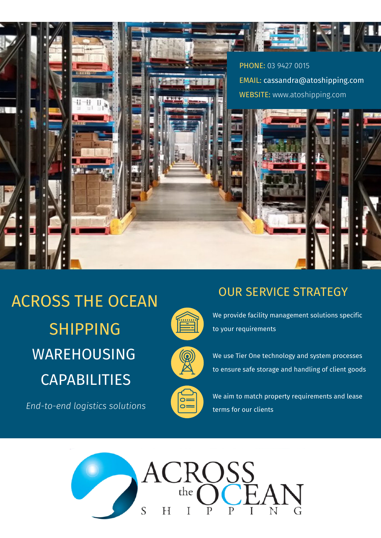

## WAREHOUSING CAPABILITIES ACROSS THE OCEAN SHIPPING

*End-to-end logistics solutions*



OUR SERVICE STRATEGY



We provide facility management solutions specific to your requirements

We use Tier One technology and system processes to ensure safe storage and handling of client goods



We aim to match property requirements and lease terms for our clients